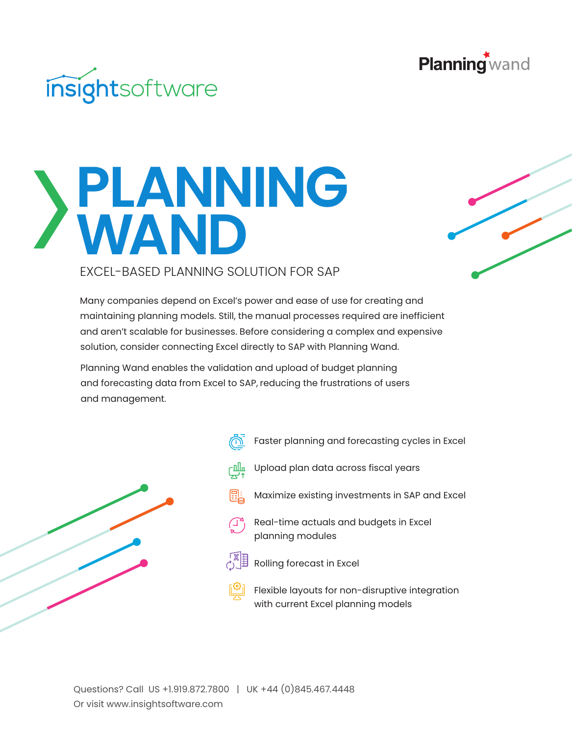



## **PLANNING** EXCEL-BASED PLANNING SOL EXCEL-BASED PLANNING SOLUTION FOR SAP

Many companies depend on Excel's power and ease of use for creating and maintaining planning models. Still, the manual processes required are inefficient and aren't scalable for businesses. Before considering a complex and expensive solution, consider connecting Excel directly to SAP with Planning Wand.

Planning Wand enables the validation and upload of budget planning and forecasting data from Excel to SAP, reducing the frustrations of users and management.



- Faster planning and forecasting cycles in Excel
- Upload plan data across fiscal years ┌Ⅲд
- Maximize existing investments in SAP and Excel
- Real-time actuals and budgets in Excel ( ⊥° planning modules
- Rolling forecast in Excel
- Flexible layouts for non-disruptive integration with current Excel planning models